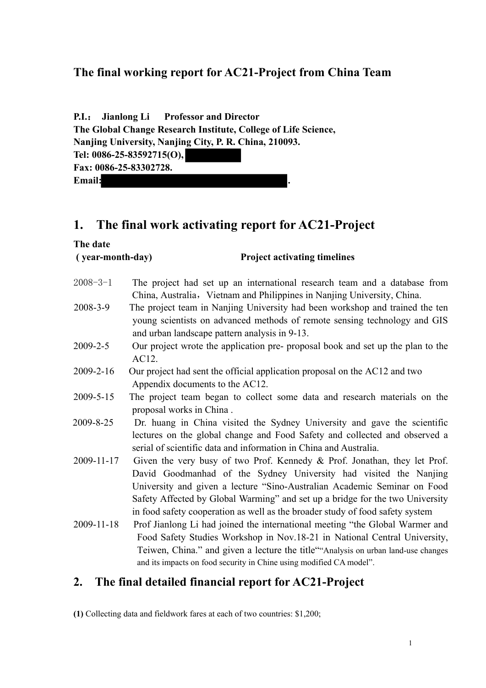## **The final working report for AC21-Project from China Team**

|                                                                |  | P.I.: Jianlong Li Professor and Director |
|----------------------------------------------------------------|--|------------------------------------------|
| The Global Change Research Institute, College of Life Science, |  |                                          |
| Nanjing University, Nanjing City, P. R. China, 210093.         |  |                                          |
| Tel: 0086-25-83592715(O),                                      |  |                                          |
| Fax: 0086-25-83302728.                                         |  |                                          |
| <b>Email:</b>                                                  |  |                                          |

**The date** 

# **1. The final work activating report for AC21-Project**

### **( year-month-day) Project activating timelines** 2008-3-1 The project had set up an international research team and a database from China, Australia, Vietnam and Philippines in Nanjing University, China. 2008-3-9 The project team in Nanjing University had been workshop and trained the ten young scientists on advanced methods of remote sensing technology and GIS and urban landscape pattern analysis in 9-13. 2009-2-5 Our project wrote the application pre- proposal book and set up the plan to the AC12. 2009-2-16 Our project had sent the official application proposal on the AC12 and two Appendix documents to the AC12. 2009-5-15 The project team began to collect some data and research materials on the proposal works in China . 2009-8-25 Dr. huang in China visited the Sydney University and gave the scientific lectures on the global change and Food Safety and collected and observed a serial of scientific data and information in China and Australia. 2009-11-17 Given the very busy of two Prof. Kennedy & Prof. Jonathan, they let Prof. David Goodmanhad of the Sydney University had visited the Nanjing University and given a lecture "Sino-Australian Academic Seminar on Food Safety Affected by Global Warming" and set up a bridge for the two University in food safety cooperation as well as the broader study of food safety system 2009-11-18 Prof Jianlong Li had joined the international meeting "the Global Warmer and Food Safety Studies Workshop in Nov.18-21 in National Central University, Teiwen, China." and given a lecture the title""Analysis on urban land-use changes and its impacts on food security in Chine using modified CA model".

## **2. The final detailed financial report for AC21-Project**

**(1)** Collecting data and fieldwork fares at each of two countries: \$1,200;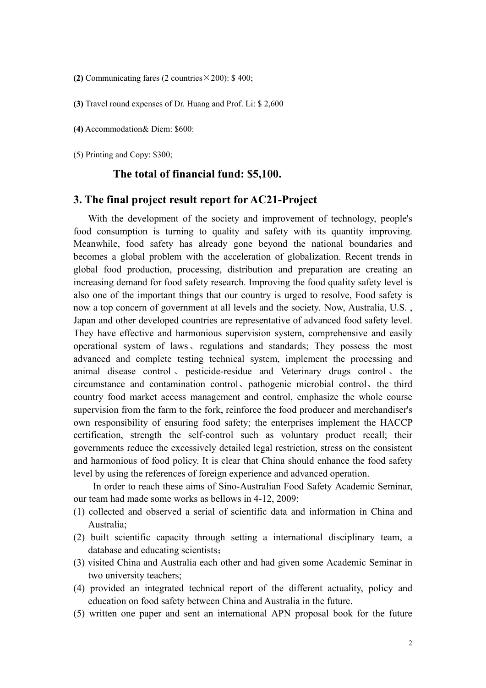**(2)** Communicating fares (2 countries  $\times$  200): \$ 400;

**(3)** Travel round expenses of Dr. Huang and Prof. Li: \$ 2,600

**(4)** Accommodation& Diem: \$600:

(5) Printing and Copy: \$300;

#### **The total of financial fund: \$5,100.**

#### **3. The final project result report for AC21-Project**

With the development of the society and improvement of technology, people's food consumption is turning to quality and safety with its quantity improving. Meanwhile, food safety has already gone beyond the national boundaries and becomes a global problem with the acceleration of globalization. Recent trends in global food production, processing, distribution and preparation are creating an increasing demand for food safety research. Improving the food quality safety level is also one of the important things that our country is urged to resolve, Food safety is now a top concern of government at all levels and the society. Now, Australia, U.S. , Japan and other developed countries are representative of advanced food safety level. They have effective and harmonious supervision system, comprehensive and easily operational system of laws、regulations and standards; They possess the most advanced and complete testing technical system, implement the processing and animal disease control 、 pesticide-residue and Veterinary drugs control 、 the circumstance and contamination control、pathogenic microbial control、the third country food market access management and control, emphasize the whole course supervision from the farm to the fork, reinforce the food producer and merchandiser's own responsibility of ensuring food safety; the enterprises implement the HACCP certification, strength the self-control such as voluntary product recall; their governments reduce the excessively detailed legal restriction, stress on the consistent and harmonious of food policy. It is clear that China should enhance the food safety level by using the references of foreign experience and advanced operation.

In order to reach these aims of Sino-Australian Food Safety Academic Seminar, our team had made some works as bellows in 4-12, 2009:

- (1) collected and observed a serial of scientific data and information in China and Australia;
- (2) built scientific capacity through setting a international disciplinary team, a database and educating scientists;
- (3) visited China and Australia each other and had given some Academic Seminar in two university teachers;
- (4) provided an integrated technical report of the different actuality, policy and education on food safety between China and Australia in the future.
- (5) written one paper and sent an international APN proposal book for the future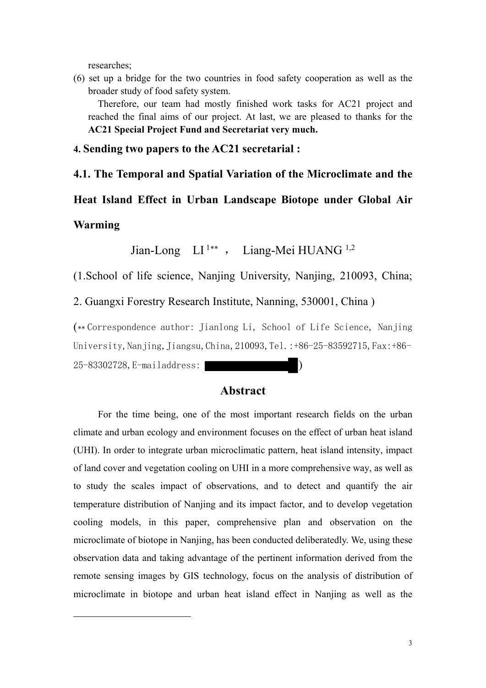researches;

(6) set up a bridge for the two countries in food safety cooperation as well as the broader study of food safety system.

Therefore, our team had mostly finished work tasks for AC21 project and reached the final aims of our project. At last, we are pleased to thanks for the **AC21 Special Project Fund and Secretariat very much.** 

**4. Sending two papers to the AC21 secretarial :**

**4.1. The Temporal and Spatial Variation of the Microclimate and the Heat Island Effect in Urban Landscape Biotope under Global Air Warming**

Jian-Long LI 1[∗∗](#page-2-0) , Liang-Mei HUANG 1,2

(1.School of life science, Nanjing University, Nanjing, 210093, China;

2. Guangxi Forestry Research Institute, Nanning, 530001, China )

(\*\* Correspondence author: Jianlong Li, School of Life Science, Nanjing University, Nanjing, Jiangsu, China, 210093, Tel.: +86-25-83592715, Fax: +86-

25-83302728,E-mailaddress: )

<span id="page-2-0"></span>-

### **Abstract**

For the time being, one of the most important research fields on the urban climate and urban ecology and environment focuses on the effect of urban heat island (UHI). In order to integrate urban microclimatic pattern, heat island intensity, impact of land cover and vegetation cooling on UHI in a more comprehensive way, as well as to study the scales impact of observations, and to detect and quantify the air temperature distribution of Nanjing and its impact factor, and to develop vegetation cooling models, in this paper, comprehensive plan and observation on the microclimate of biotope in Nanjing, has been conducted deliberatedly. We, using these observation data and taking advantage of the pertinent information derived from the remote sensing images by GIS technology, focus on the analysis of distribution of microclimate in biotope and urban heat island effect in Nanjing as well as the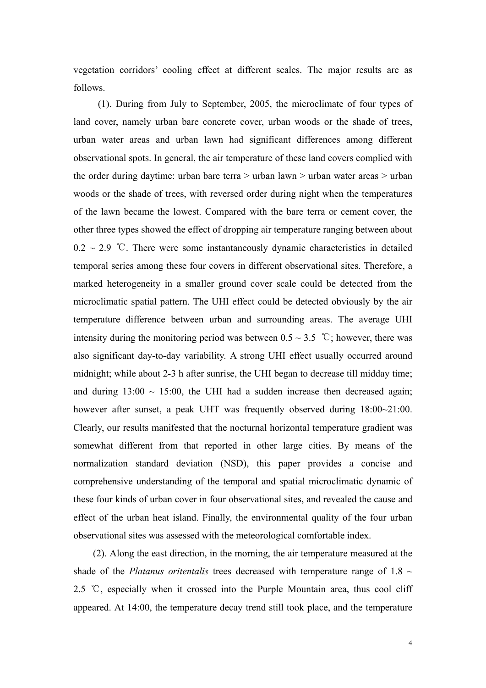vegetation corridors' cooling effect at different scales. The major results are as follows.

(1). During from July to September, 2005, the microclimate of four types of land cover, namely urban bare concrete cover, urban woods or the shade of trees, urban water areas and urban lawn had significant differences among different observational spots. In general, the air temperature of these land covers complied with the order during daytime: urban bare terra > urban lawn > urban water areas > urban woods or the shade of trees, with reversed order during night when the temperatures of the lawn became the lowest. Compared with the bare terra or cement cover, the other three types showed the effect of dropping air temperature ranging between about  $0.2 \sim 2.9$  °C. There were some instantaneously dynamic characteristics in detailed temporal series among these four covers in different observational sites. Therefore, a marked heterogeneity in a smaller ground cover scale could be detected from the microclimatic spatial pattern. The UHI effect could be detected obviously by the air temperature difference between urban and surrounding areas. The average UHI intensity during the monitoring period was between  $0.5 \sim 3.5$  °C; however, there was also significant day-to-day variability. A strong UHI effect usually occurred around midnight; while about 2-3 h after sunrise, the UHI began to decrease till midday time; and during  $13:00 \sim 15:00$ , the UHI had a sudden increase then decreased again; however after sunset, a peak UHT was frequently observed during  $18:00~21:00$ . Clearly, our results manifested that the nocturnal horizontal temperature gradient was somewhat different from that reported in other large cities. By means of the normalization standard deviation (NSD), this paper provides a concise and comprehensive understanding of the temporal and spatial microclimatic dynamic of these four kinds of urban cover in four observational sites, and revealed the cause and effect of the urban heat island. Finally, the environmental quality of the four urban observational sites was assessed with the meteorological comfortable index.

(2). Along the east direction, in the morning, the air temperature measured at the shade of the *Platanus oritentalis* trees decreased with temperature range of 1.8  $\sim$ 2.5 ℃, especially when it crossed into the Purple Mountain area, thus cool cliff appeared. At 14:00, the temperature decay trend still took place, and the temperature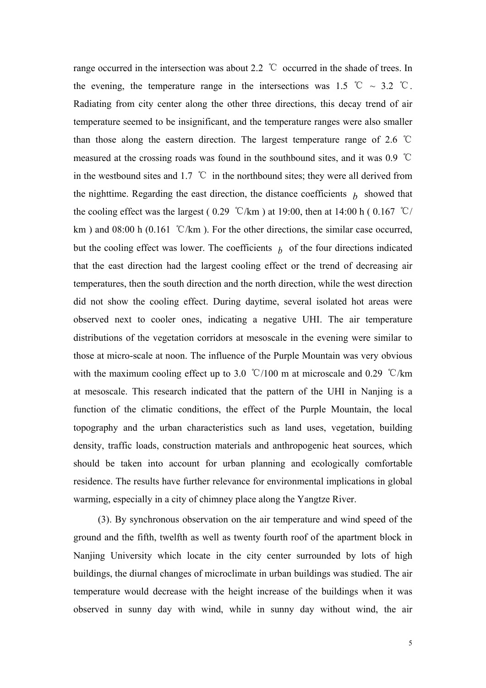range occurred in the intersection was about 2.2 ℃ occurred in the shade of trees. In the evening, the temperature range in the intersections was 1.5 °C ~ 3.2 °C. Radiating from city center along the other three directions, this decay trend of air temperature seemed to be insignificant, and the temperature ranges were also smaller than those along the eastern direction. The largest temperature range of 2.6 ℃ measured at the crossing roads was found in the southbound sites, and it was 0.9 ℃ in the westbound sites and 1.7  $\degree$ C in the northbound sites; they were all derived from the nighttime. Regarding the east direction, the distance coefficients  $\mu$  showed that the cooling effect was the largest ( $0.29$  °C/km) at 19:00, then at 14:00 h ( $0.167$  °C/ km ) and 08:00 h (0.161 °C/km ). For the other directions, the similar case occurred, but the cooling effect was lower. The coefficients  $\bar{b}$  of the four directions indicated that the east direction had the largest cooling effect or the trend of decreasing air temperatures, then the south direction and the north direction, while the west direction did not show the cooling effect. During daytime, several isolated hot areas were observed next to cooler ones, indicating a negative UHI. The air temperature distributions of the vegetation corridors at mesoscale in the evening were similar to those at micro-scale at noon. The influence of the Purple Mountain was very obvious with the maximum cooling effect up to 3.0 ℃/100 m at microscale and 0.29 ℃/km at mesoscale. This research indicated that the pattern of the UHI in Nanjing is a function of the climatic conditions, the effect of the Purple Mountain, the local topography and the urban characteristics such as land uses, vegetation, building density, traffic loads, construction materials and anthropogenic heat sources, which should be taken into account for urban planning and ecologically comfortable residence. The results have further relevance for environmental implications in global warming, especially in a city of chimney place along the Yangtze River.

 (3). By synchronous observation on the air temperature and wind speed of the ground and the fifth, twelfth as well as twenty fourth roof of the apartment block in Nanjing University which locate in the city center surrounded by lots of high buildings, the diurnal changes of microclimate in urban buildings was studied. The air temperature would decrease with the height increase of the buildings when it was observed in sunny day with wind, while in sunny day without wind, the air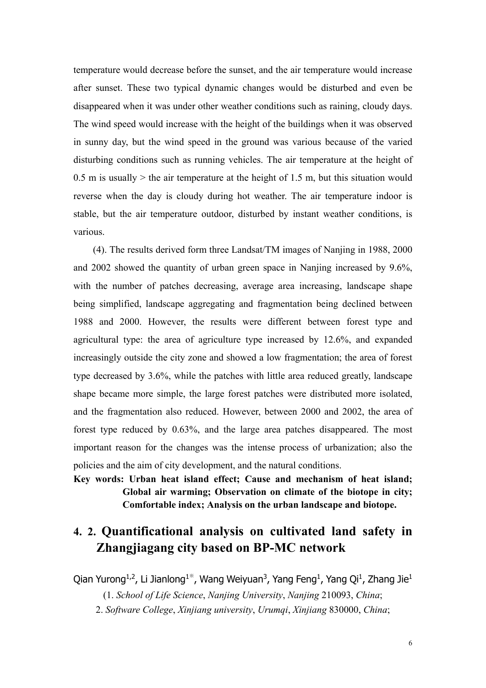temperature would decrease before the sunset, and the air temperature would increase after sunset. These two typical dynamic changes would be disturbed and even be disappeared when it was under other weather conditions such as raining, cloudy days. The wind speed would increase with the height of the buildings when it was observed in sunny day, but the wind speed in the ground was various because of the varied disturbing conditions such as running vehicles. The air temperature at the height of 0.5 m is usually  $>$  the air temperature at the height of 1.5 m, but this situation would reverse when the day is cloudy during hot weather. The air temperature indoor is stable, but the air temperature outdoor, disturbed by instant weather conditions, is various.

(4). The results derived form three Landsat/TM images of Nanjing in 1988, 2000 and 2002 showed the quantity of urban green space in Nanjing increased by 9.6%, with the number of patches decreasing, average area increasing, landscape shape being simplified, landscape aggregating and fragmentation being declined between 1988 and 2000. However, the results were different between forest type and agricultural type: the area of agriculture type increased by 12.6%, and expanded increasingly outside the city zone and showed a low fragmentation; the area of forest type decreased by 3.6%, while the patches with little area reduced greatly, landscape shape became more simple, the large forest patches were distributed more isolated, and the fragmentation also reduced. However, between 2000 and 2002, the area of forest type reduced by 0.63%, and the large area patches disappeared. The most important reason for the changes was the intense process of urbanization; also the policies and the aim of city development, and the natural conditions.

**Key words: Urban heat island effect; Cause and mechanism of heat island; Global air warming; Observation on climate of the biotope in city; Comfortable index; Analysis on the urban landscape and biotope.**

# **4. 2. Quantificational analysis on cultivated land safety in Zhangjiagang city based on BP-MC network**

Qian Yurong<sup>1,2</sup>, Li Jianlong<sup>1\*</sup>, Wang Weiyuan<sup>3</sup>, Yang Feng<sup>1</sup>, Yang Qi<sup>1</sup>, Zhang Jie<sup>1</sup>

(1. *School of Life Science*, *Nanjing University*, *Nanjing* 210093, *China*;

2. *Software College*, *Xinjiang university*, *Urumqi*, *Xinjiang* 830000, *China*;